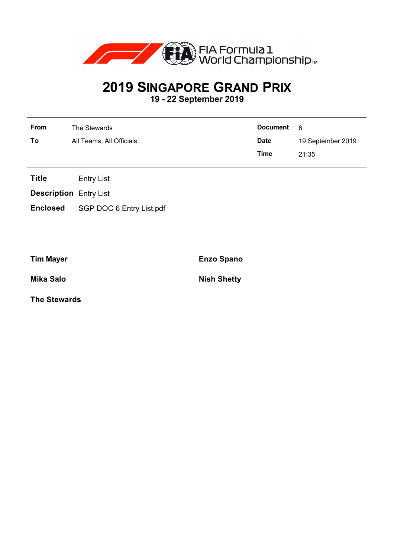

## **2019 SINGAPORE GRAND PRIX 19 - 22 September 2019**

| From | The Stewards             | Document 6  |                   |
|------|--------------------------|-------------|-------------------|
| To   | All Teams, All Officials | <b>Date</b> | 19 September 2019 |
|      |                          | Time        | 21:35             |

**Title** Entry List

**Description** Entry List

**Enclosed** SGP DOC 6 Entry List.pdf

**Tim Mayer Enzo Spano**

**Mika Salo Nish Shetty**

**The Stewards**